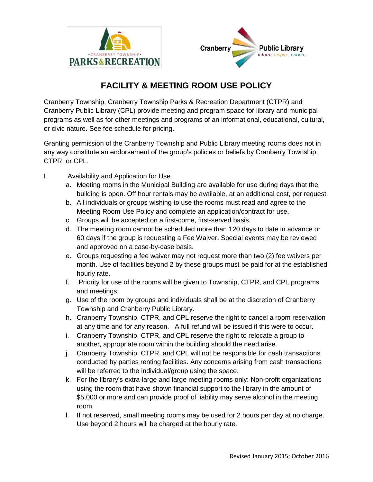



## **FACILITY & MEETING ROOM USE POLICY**

Cranberry Township, Cranberry Township Parks & Recreation Department (CTPR) and Cranberry Public Library (CPL) provide meeting and program space for library and municipal programs as well as for other meetings and programs of an informational, educational, cultural, or civic nature. See fee schedule for pricing.

Granting permission of the Cranberry Township and Public Library meeting rooms does not in any way constitute an endorsement of the group's policies or beliefs by Cranberry Township, CTPR, or CPL.

- I. Availability and Application for Use
	- a. Meeting rooms in the Municipal Building are available for use during days that the building is open. Off hour rentals may be available, at an additional cost, per request.
	- b. All individuals or groups wishing to use the rooms must read and agree to the Meeting Room Use Policy and complete an application/contract for use.
	- c. Groups will be accepted on a first-come, first-served basis.
	- d. The meeting room cannot be scheduled more than 120 days to date in advance or 60 days if the group is requesting a Fee Waiver. Special events may be reviewed and approved on a case-by-case basis.
	- e. Groups requesting a fee waiver may not request more than two (2) fee waivers per month. Use of facilities beyond 2 by these groups must be paid for at the established hourly rate.
	- f. Priority for use of the rooms will be given to Township, CTPR, and CPL programs and meetings.
	- g. Use of the room by groups and individuals shall be at the discretion of Cranberry Township and Cranberry Public Library.
	- h. Cranberry Township, CTPR, and CPL reserve the right to cancel a room reservation at any time and for any reason. A full refund will be issued if this were to occur.
	- i. Cranberry Township, CTPR, and CPL reserve the right to relocate a group to another, appropriate room within the building should the need arise.
	- j. Cranberry Township, CTPR, and CPL will not be responsible for cash transactions conducted by parties renting facilities. Any concerns arising from cash transactions will be referred to the individual/group using the space.
	- k. For the library's extra-large and large meeting rooms only: Non-profit organizations using the room that have shown financial support to the library in the amount of \$5,000 or more and can provide proof of liability may serve alcohol in the meeting room.
	- l. If not reserved, small meeting rooms may be used for 2 hours per day at no charge. Use beyond 2 hours will be charged at the hourly rate.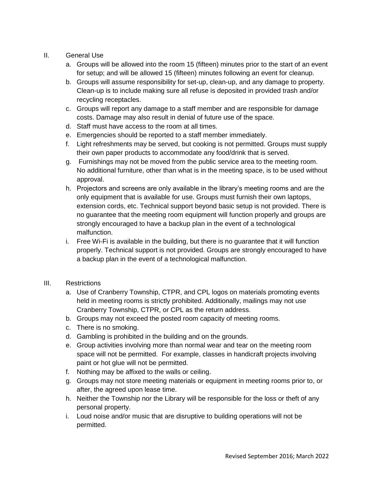## II. General Use

- a. Groups will be allowed into the room 15 (fifteen) minutes prior to the start of an event for setup; and will be allowed 15 (fifteen) minutes following an event for cleanup.
- b. Groups will assume responsibility for set-up, clean-up, and any damage to property. Clean-up is to include making sure all refuse is deposited in provided trash and/or recycling receptacles.
- c. Groups will report any damage to a staff member and are responsible for damage costs. Damage may also result in denial of future use of the space.
- d. Staff must have access to the room at all times.
- e. Emergencies should be reported to a staff member immediately.
- f. Light refreshments may be served, but cooking is not permitted. Groups must supply their own paper products to accommodate any food/drink that is served.
- g. Furnishings may not be moved from the public service area to the meeting room. No additional furniture, other than what is in the meeting space, is to be used without approval.
- h. Projectors and screens are only available in the library's meeting rooms and are the only equipment that is available for use. Groups must furnish their own laptops, extension cords, etc. Technical support beyond basic setup is not provided. There is no guarantee that the meeting room equipment will function properly and groups are strongly encouraged to have a backup plan in the event of a technological malfunction.
- i. Free Wi-Fi is available in the building, but there is no guarantee that it will function properly. Technical support is not provided. Groups are strongly encouraged to have a backup plan in the event of a technological malfunction.

## III. Restrictions

- a. Use of Cranberry Township, CTPR, and CPL logos on materials promoting events held in meeting rooms is strictly prohibited. Additionally, mailings may not use Cranberry Township, CTPR, or CPL as the return address.
- b. Groups may not exceed the posted room capacity of meeting rooms.
- c. There is no smoking.
- d. Gambling is prohibited in the building and on the grounds.
- e. Group activities involving more than normal wear and tear on the meeting room space will not be permitted. For example, classes in handicraft projects involving paint or hot glue will not be permitted.
- f. Nothing may be affixed to the walls or ceiling.
- g. Groups may not store meeting materials or equipment in meeting rooms prior to, or after, the agreed upon lease time.
- h. Neither the Township nor the Library will be responsible for the loss or theft of any personal property.
- i. Loud noise and/or music that are disruptive to building operations will not be permitted.